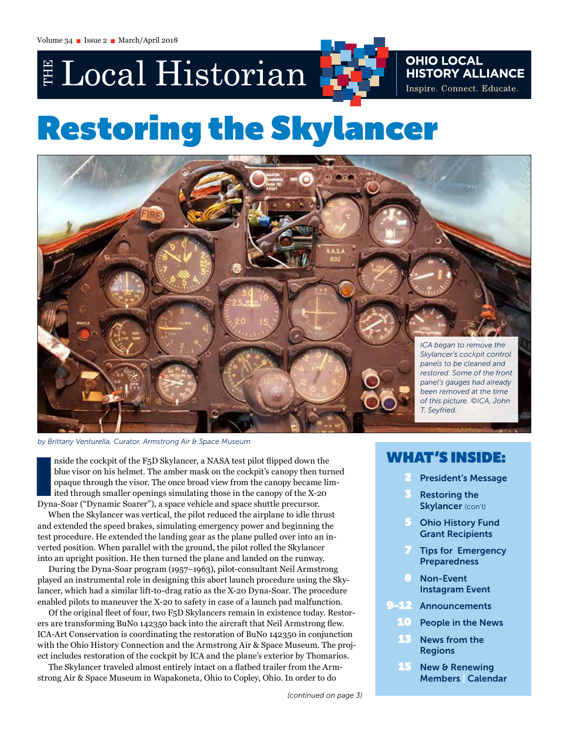E Local Historian



## **OHIO LOCAL<br>HISTORY ALLIANCE** Inspire. Connect. Educate.

# Restoring the Skylancer



*by Brittany Venturella, Curator, Armstrong Air & Space Museum*

nside the cockpit of the F5D Skylancer, a NASA test pilot flipped down t<br>blue visor on his helmet. The amber mask on the cockpit's canopy then<br>opaque through the visor. The once broad view from the canopy became<br>ited throu nside the cockpit of the F5D Skylancer, a NASA test pilot flipped down the blue visor on his helmet. The amber mask on the cockpit's canopy then turned opaque through the visor. The once broad view from the canopy became limited through smaller openings simulating those in the canopy of the X-20

When the Skylancer was vertical, the pilot reduced the airplane to idle thrust and extended the speed brakes, simulating emergency power and beginning the test procedure. He extended the landing gear as the plane pulled over into an inverted position. When parallel with the ground, the pilot rolled the Skylancer into an upright position. He then turned the plane and landed on the runway.

During the Dyna-Soar program (1957–1963), pilot-consultant Neil Armstrong played an instrumental role in designing this abort launch procedure using the Skylancer, which had a similar lift-to-drag ratio as the X-20 Dyna-Soar. The procedure enabled pilots to maneuver the X-20 to safety in case of a launch pad malfunction.

Of the original fleet of four, two F5D Skylancers remain in existence today. Restorers are transforming BuNo 142350 back into the aircraft that Neil Armstrong flew. ICA-Art Conservation is coordinating the restoration of BuNo 142350 in conjunction with the Ohio History Connection and the Armstrong Air & Space Museum. The project includes restoration of the cockpit by ICA and the plane's exterior by Thomarios.

The Skylancer traveled almost entirely intact on a flatbed trailer from the Armstrong Air & Space Museum in Wapakoneta, Ohio to Copley, Ohio. In order to do

## WHAT'S INSIDE:

- **President's Message**
- **Restoring the** Skylancer (con't)
- 5 Ohio History Fund Grant Recipients
- **Tips for Emergency** Preparedness
- **Non-Event** Instagram Event
- 9-12 Announcements
	- People in the News
	- 13 News from the Regions
	- 15 New & Renewing Members | Calendar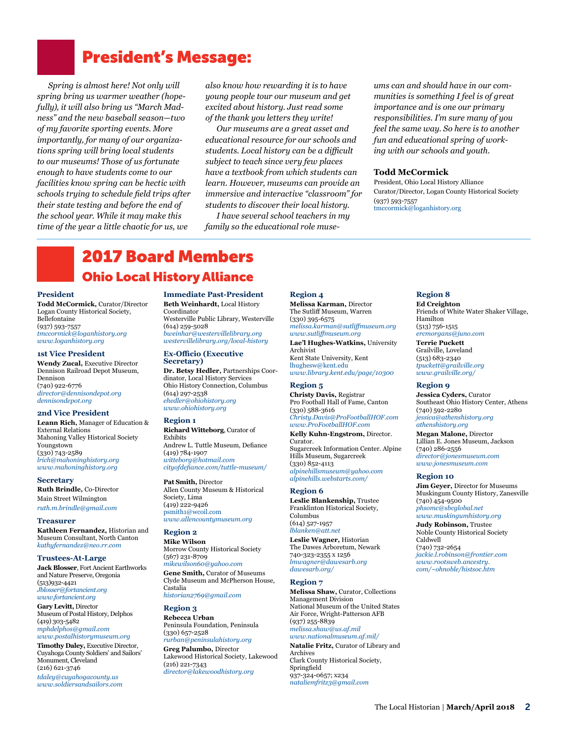## President's Message:

*Spring is almost here! Not only will spring bring us warmer weather (hopefully), it will also bring us "March Madness" and the new baseball season*—*two of my favorite sporting events. More importantly, for many of our organizations spring will bring local students to our museums! Those of us fortunate enough to have students come to our facilities know spring can be hectic with schools trying to schedule field trips after their state testing and before the end of the school year. While it may make this time of the year a little chaotic for us, we* 

*also know how rewarding it is to have young people tour our museum and get excited about history. Just read some of the thank you letters they write!*

*Our museums are a great asset and educational resource for our schools and students. Local history can be a difficult subject to teach since very few places have a textbook from which students can learn. However, museums can provide an immersive and interactive "classroom" for students to discover their local history.* 

*I have several school teachers in my family so the educational role muse-*

*ums can and should have in our communities is something I feel is of great importance and is one our primary responsibilities. I'm sure many of you feel the same way. So here is to another fun and educational spring of working with our schools and youth.*

#### **Todd McCormick**

President, Ohio Local History Alliance Curator/Director, Logan County Historical Society (937) 593-7557 [tmccormick@loganhistory.org](mailto:tmccormick@loganhistory.org)

## 2017 Board Members Ohio Local History Alliance

#### **President**

**Todd McCormick,** Curator/Director Logan County Historical Society, Bellefontaine (937) 593-7557 *[tmccormick@loganhistory.org](mailto:tmccormick%40loganhistory.org?subject=) [www.loganhistory.org](http://www.loganhistory.org)*

#### **1st Vice President**

**Wendy Zucal,** Executive Director Dennison Railroad Depot Museum, Dennison (740) 922-6776 *[director@dennisondepot.org](mailto:director%40dennisondepot.org?subject=) [dennisondepot.org](http://dennisondepot.org)*

#### **2nd Vice President**

**Leann Rich,** Manager of Education & External Relations Mahoning Valley Historical Society Youngstown (330) 743-2589 *[lrich@mahoninghistory.org](mailto:lrich%40mahoninghistory.org?subject=) [www.mahoninghistory.org](http://www.mahoninghistory.org)*

**Secretary Ruth Brindle,** Co-Director Main Street Wilmington *[ruth.m.brindle@gmail.com](mailto:ruth.m.brindle%40gmail.com?subject=)*

#### **Treasurer**

**Kathleen Fernandez,** Historian and Museum Consultant, North Canton *[kathyfernandez@neo.rr.com](mailto:kathyfernandez%40neo.rr.com?subject=)*

#### **Trustees-At-Large**

**Jack Blosser**, Fort Ancient Earthworks and Nature Preserve, Oregonia (513)932-4421 *[Jblosser@fortancient.org](mailto:Jblosser@fortancient.org) [www.fortancient.org](http://www.fortancient.org)*

**Gary Levitt,** Director Museum of Postal History, Delphos (419) 303-5482 *[mphdelphos@gmail.com](mailto:mphdelphos%40gmail.com?subject=) [www.postalhistorymuseum.org](mailto:www.postalhistorymuseum.org?subject=)*

**Timothy Daley,** Executive Director, Cuyahoga County Soldiers' and Sailors' Monument, Cleveland (216) 621-3746 *[tdaley@cuyahogacounty.us](mailto:tdaley@cuyahogacounty.us) [www.soldiersandsailors.com](http://www.soldiersandsailors.com)*

#### **Immediate Past-President Beth Weinhardt,** Local History

Coordinator Westerville Public Library, Westerville (614) 259-5028 *[bweinhar@westervillelibrary.org](mailto:www.mahoninghistory.org?subject=) [westervillelibrary.org/local-history](http://westervillelibrary.org/local-history)*

#### **Ex-Officio (Executive Secretary)**

**Dr. Betsy Hedler,** Partnerships Coordinator, Local History Services Ohio History Connection, Columbus (614) 297-2538 *[ehedler@ohiohistory.org](mailto:ehedler%40ohiohistory.org?subject=) [www.ohiohistory.org](http://www.ohiohistory.org)*

#### **Region 1**

**Richard Witteborg**, Curator of Exhibits Andrew L. Tuttle Museum, Defiance (419) 784-1907 *[witteborg@hotmail.com](mailto:witteborg%40hotmail.com?subject=) [cityofdefiance.com/tuttle-museum/](http://cityofdefiance.com/tuttle-museum/)*

**Pat Smith,** Director Allen County Museum & Historical Society, Lima (419) 222-9426 [psmith1@wcoil.com](mailto:psmith1%40wcoil.com?subject=) *[www.allencountymuseum.org](http://www.allencountymuseum.org)* 

#### **Region 2**

**Mike Wilson** Morrow County Historical Society (567) 231-8709 *[mikewilson60@yahoo.com](mailto:mikewilson60%40yahoo.com?subject=)* **Gene Smith,** Curator of Museums Clyde Museum and McPherson House, Castalia

*[historian2769@gmail.com](mailto:historian2769%40gmail.com%0D?subject=)*

#### **Region 3**

**Rebecca Urban** Peninsula Foundation, Peninsula (330) 657-2528 *[rurban@peninsulahistory.org](mailto:rurban%40peninsulahistory.org?subject=)* **Greg Palumbo,** Director Lakewood Historical Society, Lakewood (216) 221-7343 *[director@lakewoodhistory.org](mailto:director%40lakewoodhistory.org%0D?subject=)*

**Region 4 Melissa Karman,** Director The Sutliff Museum, Warren (330) 395-6575 *[melissa.karman@sutliffmuseum.org](mailto:melissa.karman%40sutliffmuseum.org?subject=)  [www.sutliffmuseum.org](http://www.sutliffmuseum.org)* **Lae'l Hughes-Watkins,** University Archivist Kent State University, Kent [lhughesw@kent.edu](mailto:lhughesw%40kent.edu?subject=) *[www.library.kent.edu/page/10300](http://www.library.kent.edu/page/10300)*

#### **Region 5**

**Christy Davis,** Registrar Pro Football Hall of Fame, Canton (330) 588-3616 *[Christy.Davis@ProFootballHOF.com](mailto:Christy.Davis%40ProFootballHOF.com?subject=)  [www.ProFootballHOF.com](http://www.ProFootballHOF.com)*

**Kelly Kuhn-Engstrom,** Director. Curator. Sugarcreek Information Center. Alpine Hills Museum, Sugarcreek (330) 852-4113 *[alpinehillsmuseum@yahoo.com](mailto:alpinehillsmuseum%40yahoo.com?subject=) [alpinehills.webstarts.com/](http://alpinehills.webstarts.com)*

#### **Region 6**

**Leslie Blankenship,** Trustee Franklinton Historical Society, Columbus (614) 527-1957 *[lblanken@att.net](mailto:lblanken%40att.net?subject=)* 

**Leslie Wagner,** Historian The Dawes Arboretum, Newark 740-323-2355 x 1256 *[lmwagner@dawesarb.org](mailto:lmwagner%40dawesarb.org%0A?subject=) [dawesarb.org/](http://dawesarb.org)*

#### **Region 7**

**Melissa Shaw,** Curator, Collections Management Division National Museum of the United States Air Force, Wright-Patterson AFB (937) 255-8839 *[melissa.shaw@us.af.mil](mailto:melissa.shaw%40us.af.mil?subject=) [www.nationalmuseum.af.mil/](http://www.nationalmuseum.af.mil/)*

**Natalie Fritz,** Curator of Library and Archives Clark County Historical Society, Springfield 937-324-0657; x234 *[nataliemfritz3@gmail.com](mailto:nataliemfritz3%40gmail.com?subject=)*

#### **Region 8**

**Ed Creighton** Friends of White Water Shaker Village, Hamilton (513) 756-1515 *[ercmorgans@juno.com](mailto:ercmorgans%40juno.com?subject=)* **Terrie Puckett** Grailville, Loveland (513) 683-2340 *[tpuckett@grailville.org](mailto:tpuckett%40grailville.org?subject=) [www.grailville.org/](http://www.grailville.org)*

#### **Region 9**

**Jessica Cyders,** Curator Southeast Ohio History Center, Athens (740) 592-2280 *[jessica@athenshistory.org](mailto:jessica%40athenshistory.org?subject=) [athenshistory.org](http://athenshistory.org)*

**Megan Malone,** Director Lillian E. Jones Museum, Jackson (740) 286-2556 *[director@jonesmuseum.com](mailto:director%40jonesmuseum.com?subject=) [www.jonesmuseum.com](http://www.jonesmuseum.com)*

#### **Region 10**

**Jim Geyer,** Director for Museums Muskingum County History, Zanesville (740) 454-9500 *[phsomc@sbcglobal.net](mailto:phsomc%40sbcglobal.net?subject=) [www.muskingumhistory.org](http://www.muskingumhistory.org)*

**Judy Robinson,** Trustee Noble County Historical Society Caldwell (740) 732-2654 *[jackie.l.robinson@frontier.com](mailto:jackie.l.robinson%40frontier.com?subject=) [www.rootsweb.ancestry.](http://www.rootsweb.ancestry.com/~ohnoble/histsoc.htm) [com/~ohnoble/histsoc.htm](http://www.rootsweb.ancestry.com/~ohnoble/histsoc.htm)*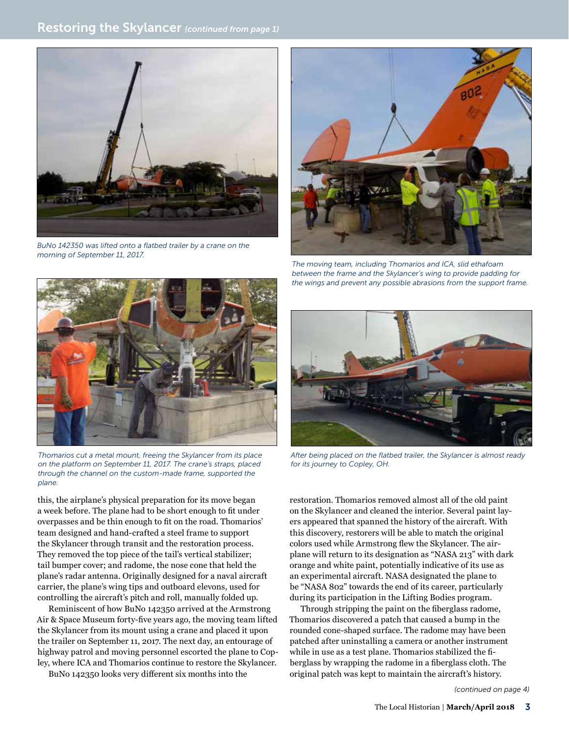

*BuNo 142350 was lifted onto a flatbed trailer by a crane on the morning of September 11, 2017.*



*The moving team, including Thomarios and ICA, slid ethafoam between the frame and the Skylancer's wing to provide padding for the wings and prevent any possible abrasions from the support frame.* 



*Thomarios cut a metal mount, freeing the Skylancer from its place on the platform on September 11, 2017. The crane's straps, placed through the channel on the custom-made frame, supported the plane.*

this, the airplane's physical preparation for its move began a week before. The plane had to be short enough to fit under overpasses and be thin enough to fit on the road. Thomarios' team designed and hand-crafted a steel frame to support the Skylancer through transit and the restoration process. They removed the top piece of the tail's vertical stabilizer; tail bumper cover; and radome, the nose cone that held the plane's radar antenna. Originally designed for a naval aircraft carrier, the plane's wing tips and outboard elevons, used for controlling the aircraft's pitch and roll, manually folded up.

Reminiscent of how BuNo 142350 arrived at the Armstrong Air & Space Museum forty-five years ago, the moving team lifted the Skylancer from its mount using a crane and placed it upon the trailer on September 11, 2017. The next day, an entourage of highway patrol and moving personnel escorted the plane to Copley, where ICA and Thomarios continue to restore the Skylancer.

BuNo 142350 looks very different six months into the



*After being placed on the flatbed trailer, the Skylancer is almost ready for its journey to Copley, OH.*

restoration. Thomarios removed almost all of the old paint on the Skylancer and cleaned the interior. Several paint layers appeared that spanned the history of the aircraft. With this discovery, restorers will be able to match the original colors used while Armstrong flew the Skylancer. The airplane will return to its designation as "NASA 213" with dark orange and white paint, potentially indicative of its use as an experimental aircraft. NASA designated the plane to be "NASA 802" towards the end of its career, particularly during its participation in the Lifting Bodies program.

Through stripping the paint on the fiberglass radome, Thomarios discovered a patch that caused a bump in the rounded cone-shaped surface. The radome may have been patched after uninstalling a camera or another instrument while in use as a test plane. Thomarios stabilized the fiberglass by wrapping the radome in a fiberglass cloth. The original patch was kept to maintain the aircraft's history.

*(continued on page 4)*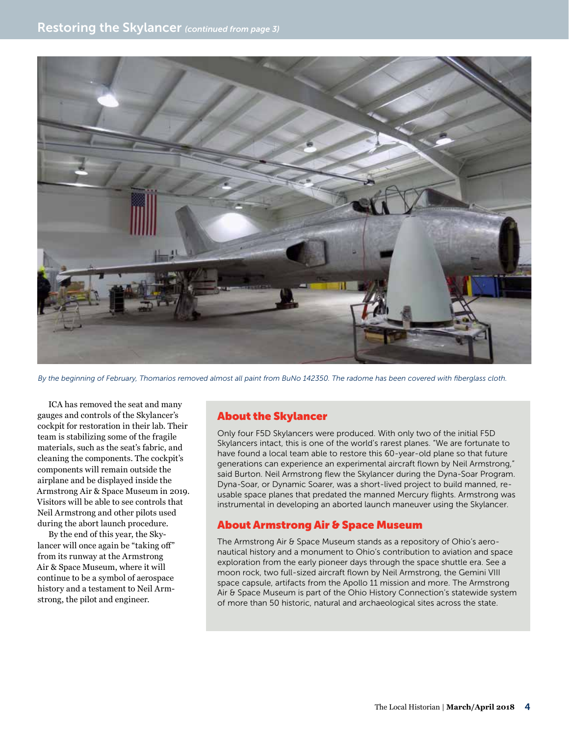

*By the beginning of February, Thomarios removed almost all paint from BuNo 142350. The radome has been covered with fiberglass cloth.* 

ICA has removed the seat and many gauges and controls of the Skylancer's cockpit for restoration in their lab. Their team is stabilizing some of the fragile materials, such as the seat's fabric, and cleaning the components. The cockpit's components will remain outside the airplane and be displayed inside the Armstrong Air & Space Museum in 2019. Visitors will be able to see controls that Neil Armstrong and other pilots used during the abort launch procedure.

By the end of this year, the Skylancer will once again be "taking off" from its runway at the Armstrong Air & Space Museum, where it will continue to be a symbol of aerospace history and a testament to Neil Armstrong, the pilot and engineer.

### About the Skylancer

Only four F5D Skylancers were produced. With only two of the initial F5D Skylancers intact, this is one of the world's rarest planes. "We are fortunate to have found a local team able to restore this 60-year-old plane so that future generations can experience an experimental aircraft flown by Neil Armstrong," said Burton. Neil Armstrong flew the Skylancer during the Dyna-Soar Program. Dyna-Soar, or Dynamic Soarer, was a short-lived project to build manned, reusable space planes that predated the manned Mercury flights. Armstrong was instrumental in developing an aborted launch maneuver using the Skylancer.

### About Armstrong Air & Space Museum

The Armstrong Air & Space Museum stands as a repository of Ohio's aeronautical history and a monument to Ohio's contribution to aviation and space exploration from the early pioneer days through the space shuttle era. See a moon rock, two full-sized aircraft flown by Neil Armstrong, the Gemini VIII space capsule, artifacts from the Apollo 11 mission and more. The Armstrong Air & Space Museum is part of the Ohio History Connection's statewide system of more than 50 historic, natural and archaeological sites across the state.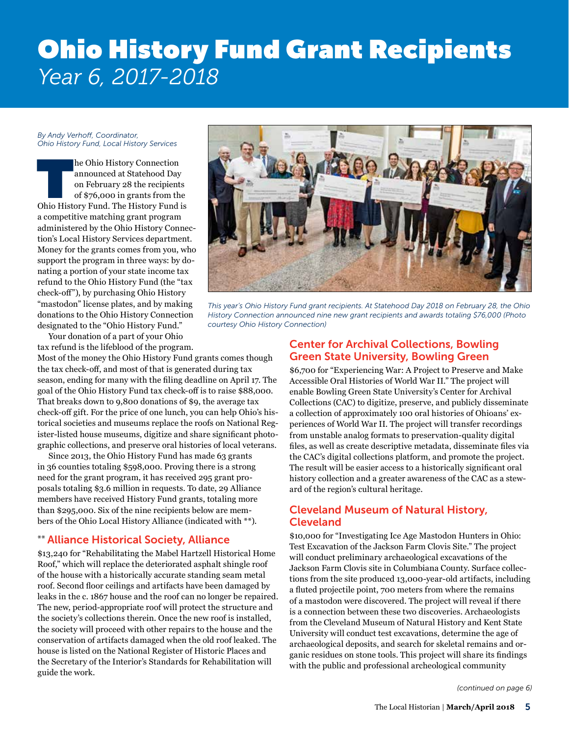# Ohio History Fund Grant Recipients *Year 6, 2017-2018*

#### *By Andy Verhoff, Coordinator, Ohio History Fund, Local History Services*

he Ohio History Connection<br>
announced at Statehood Day<br>
on February 28 the recipients<br>
of \$76,000 in grants from the<br>
Ohio History Fund. The History Fund is announced at Statehood Day on February 28 the recipients of \$76,000 in grants from the a competitive matching grant program administered by the Ohio History Connection's Local History Services department. Money for the grants comes from you, who support the program in three ways: by donating a portion of your state income tax refund to the Ohio History Fund (the "tax check-off"), by purchasing Ohio History "mastodon" license plates, and by making donations to the Ohio History Connection designated to the "Ohio History Fund."

Your donation of a part of your Ohio tax refund is the lifeblood of the program.

Most of the money the Ohio History Fund grants comes though the tax check-off, and most of that is generated during tax season, ending for many with the filing deadline on April 17. The goal of the Ohio History Fund tax check-off is to raise \$88,000. That breaks down to 9,800 donations of \$9, the average tax check-off gift. For the price of one lunch, you can help Ohio's historical societies and museums replace the roofs on National Register-listed house museums, digitize and share significant photographic collections, and preserve oral histories of local veterans.

Since 2013, the Ohio History Fund has made 63 grants in 36 counties totaling \$598,000. Proving there is a strong need for the grant program, it has received 295 grant proposals totaling \$3.6 million in requests. To date, 29 Alliance members have received History Fund grants, totaling more than \$295,000. Six of the nine recipients below are members of the Ohio Local History Alliance (indicated with \*\*).

## \*\* Alliance Historical Society, Alliance

\$13,240 for "Rehabilitating the Mabel Hartzell Historical Home Roof," which will replace the deteriorated asphalt shingle roof of the house with a historically accurate standing seam metal roof. Second floor ceilings and artifacts have been damaged by leaks in the c. 1867 house and the roof can no longer be repaired. The new, period-appropriate roof will protect the structure and the society's collections therein. Once the new roof is installed, the society will proceed with other repairs to the house and the conservation of artifacts damaged when the old roof leaked. The house is listed on the National Register of Historic Places and the Secretary of the Interior's Standards for Rehabilitation will guide the work.



*This year's Ohio History Fund grant recipients. At Statehood Day 2018 on February 28, the Ohio History Connection announced nine new grant recipients and awards totaling \$76,000 (Photo courtesy Ohio History Connection)*

### Center for Archival Collections, Bowling Green State University, Bowling Green

\$6,700 for "Experiencing War: A Project to Preserve and Make Accessible Oral Histories of World War II." The project will enable Bowling Green State University's Center for Archival Collections (CAC) to digitize, preserve, and publicly disseminate a collection of approximately 100 oral histories of Ohioans' experiences of World War II. The project will transfer recordings from unstable analog formats to preservation-quality digital files, as well as create descriptive metadata, disseminate files via the CAC's digital collections platform, and promote the project. The result will be easier access to a historically significant oral history collection and a greater awareness of the CAC as a steward of the region's cultural heritage.

## Cleveland Museum of Natural History, Cleveland

\$10,000 for "Investigating Ice Age Mastodon Hunters in Ohio: Test Excavation of the Jackson Farm Clovis Site." The project will conduct preliminary archaeological excavations of the Jackson Farm Clovis site in Columbiana County. Surface collections from the site produced 13,000-year-old artifacts, including a fluted projectile point, 700 meters from where the remains of a mastodon were discovered. The project will reveal if there is a connection between these two discoveries. Archaeologists from the Cleveland Museum of Natural History and Kent State University will conduct test excavations, determine the age of archaeological deposits, and search for skeletal remains and organic residues on stone tools. This project will share its findings with the public and professional archeological community

*(continued on page 6)*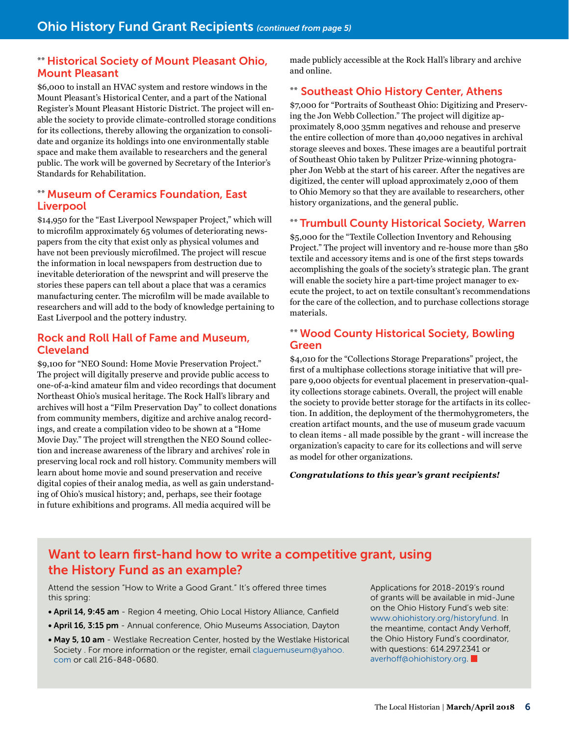### \*\* Historical Society of Mount Pleasant Ohio, Mount Pleasant

\$6,000 to install an HVAC system and restore windows in the Mount Pleasant's Historical Center, and a part of the National Register's Mount Pleasant Historic District. The project will enable the society to provide climate-controlled storage conditions for its collections, thereby allowing the organization to consolidate and organize its holdings into one environmentally stable space and make them available to researchers and the general public. The work will be governed by Secretary of the Interior's Standards for Rehabilitation.

### \*\* Museum of Ceramics Foundation, East **Liverpool**

\$14,950 for the "East Liverpool Newspaper Project," which will to microfilm approximately 65 volumes of deteriorating newspapers from the city that exist only as physical volumes and have not been previously microfilmed. The project will rescue the information in local newspapers from destruction due to inevitable deterioration of the newsprint and will preserve the stories these papers can tell about a place that was a ceramics manufacturing center. The microfilm will be made available to researchers and will add to the body of knowledge pertaining to East Liverpool and the pottery industry.

### Rock and Roll Hall of Fame and Museum, Cleveland

\$9,100 for "NEO Sound: Home Movie Preservation Project." The project will digitally preserve and provide public access to one-of-a-kind amateur film and video recordings that document Northeast Ohio's musical heritage. The Rock Hall's library and archives will host a "Film Preservation Day" to collect donations from community members, digitize and archive analog recordings, and create a compilation video to be shown at a "Home Movie Day." The project will strengthen the NEO Sound collection and increase awareness of the library and archives' role in preserving local rock and roll history. Community members will learn about home movie and sound preservation and receive digital copies of their analog media, as well as gain understanding of Ohio's musical history; and, perhaps, see their footage in future exhibitions and programs. All media acquired will be

made publicly accessible at the Rock Hall's library and archive and online.

## \*\* Southeast Ohio History Center, Athens

\$7,000 for "Portraits of Southeast Ohio: Digitizing and Preserving the Jon Webb Collection." The project will digitize approximately 8,000 35mm negatives and rehouse and preserve the entire collection of more than 40,000 negatives in archival storage sleeves and boxes. These images are a beautiful portrait of Southeast Ohio taken by Pulitzer Prize-winning photographer Jon Webb at the start of his career. After the negatives are digitized, the center will upload approximately 2,000 of them to Ohio Memory so that they are available to researchers, other history organizations, and the general public.

### \*\* Trumbull County Historical Society, Warren

\$5,000 for the "Textile Collection Inventory and Rehousing Project." The project will inventory and re-house more than 580 textile and accessory items and is one of the first steps towards accomplishing the goals of the society's strategic plan. The grant will enable the society hire a part-time project manager to execute the project, to act on textile consultant's recommendations for the care of the collection, and to purchase collections storage materials.

### \*\* Wood County Historical Society, Bowling Green

\$4,010 for the "Collections Storage Preparations" project, the first of a multiphase collections storage initiative that will prepare 9,000 objects for eventual placement in preservation-quality collections storage cabinets. Overall, the project will enable the society to provide better storage for the artifacts in its collection. In addition, the deployment of the thermohygrometers, the creation artifact mounts, and the use of museum grade vacuum to clean items - all made possible by the grant - will increase the organization's capacity to care for its collections and will serve as model for other organizations.

### *Congratulations to this year's grant recipients!*

## Want to learn first-hand how to write a competitive grant, using the History Fund as an example?

Attend the session "How to Write a Good Grant." It's offered three times this spring:

- April 14, 9:45 am Region 4 meeting, Ohio Local History Alliance, Canfield
- April 16, 3:15 pm Annual conference, Ohio Museums Association, Dayton
- May 5, 10 am Westlake Recreation Center, hosted by the Westlake Historical Society . For more information or the register, email [claguemuseum@yahoo.](mailto:claguemuseum@yahoo.com) [com](mailto:claguemuseum@yahoo.com) or call 216-848-0680.

Applications for 2018-2019's round of grants will be available in mid-June on the Ohio History Fund's web site: [www.ohiohistory.org/historyfund.](http://www.ohiohistory.org/historyfund) In the meantime, contact Andy Verhoff, the Ohio History Fund's coordinator, with questions: 614.297.2341 or [averhoff@ohiohistory.org](mailto:averhoff@ohiohistory.org)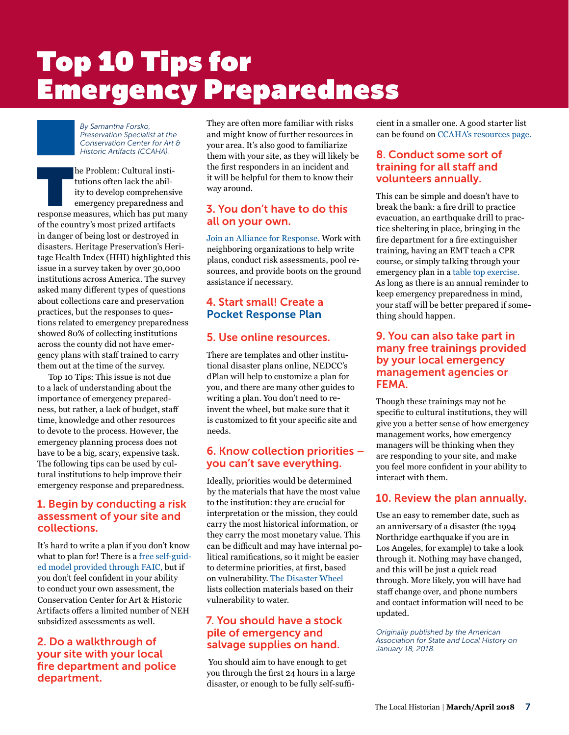# Top 10 Tips for Emergency Preparedness

*By Samantha Forsko, Preservation Specialist at the Conservation Center for Art & Historic Artifacts (CCAHA).*

The Problem: Cultural institutions often lack the ability to develop comprehensive emergency preparedness and response measures, which has put many tutions often lack the ability to develop comprehensive emergency preparedness and of the country's most prized artifacts in danger of being lost or destroyed in disasters. Heritage Preservation's Heritage Health Index (HHI) highlighted this issue in a survey taken by over 30,000 institutions across America. The survey asked many different types of questions about collections care and preservation practices, but the responses to questions related to emergency preparedness showed 80% of collecting institutions across the county did not have emergency plans with staff trained to carry them out at the time of the survey.

Top 10 Tips: This issue is not due to a lack of understanding about the importance of emergency preparedness, but rather, a lack of budget, staff time, knowledge and other resources to devote to the process. However, the emergency planning process does not have to be a big, scary, expensive task. The following tips can be used by cultural institutions to help improve their emergency response and preparedness.

### 1. Begin by conducting a risk assessment of your site and collections.

It's hard to write a plan if you don't know what to plan for! There is a [free self-guid](http://www.conservation-us.org/emergencies/risk-evaluation-and-planning-program#.WqGh4udG271 )[ed model provided through FAIC,](http://www.conservation-us.org/emergencies/risk-evaluation-and-planning-program#.WqGh4udG271 ) but if you don't feel confident in your ability to conduct your own assessment, the Conservation Center for Art & Historic Artifacts offers a limited number of NEH subsidized assessments as well.

### 2. Do a walkthrough of your site with your local fire department and police department.

They are often more familiar with risks and might know of further resources in your area. It's also good to familiarize them with your site, as they will likely be the first responders in an incident and it will be helpful for them to know their way around.

## 3. You don't have to do this all on your own.

[Join an Alliance for Response.](http://www.heritageemergency.org/initiatives/alliance-for-response/afr-home/ ) Work with neighboring organizations to help write plans, conduct risk assessments, pool resources, and provide boots on the ground assistance if necessary.

## 4. Start small! Create a [Pocket Response Plan](https://www.statearchivists.org/programs/emergency-preparedness/emergency-preparedness-resources/pocket-response-plantm-prep-tm-english-template/ )

### 5. Use online resources.

There are templates and other institutional disaster plans online, NEDCC's dPlan will help to customize a plan for you, and there are many other guides to writing a plan. You don't need to reinvent the wheel, but make sure that it is customized to fit your specific site and needs.

## 6. Know collection priorities – you can't save everything.

Ideally, priorities would be determined by the materials that have the most value to the institution: they are crucial for interpretation or the mission, they could carry the most historical information, or they carry the most monetary value. This can be difficult and may have internal political ramifications, so it might be easier to determine priorities, at first, based on vulnerability. [The Disaster Wheel](http://store.conservation-us.org/site/index.php?app=ecom&ns=prodshow&ref=FAIC-1 )  lists collection materials based on their vulnerability to water.

## 7. You should have a stock pile of emergency and salvage supplies on hand.

 You should aim to have enough to get you through the first 24 hours in a large disaster, or enough to be fully self-suffi-

cient in a smaller one. A good starter list can be found on [CCAHA's resources page.](http://www.ccaha.org/publications/emergency-resource-guide )

### 8. Conduct some sort of training for all staff and volunteers annually.

This can be simple and doesn't have to break the bank: a fire drill to practice evacuation, an earthquake drill to practice sheltering in place, bringing in the fire department for a fire extinguisher training, having an EMT teach a CPR course, or simply talking through your emergency plan in a [table top exercise.](https://www.ideals.illinois.edu/bitstream/handle/2142/55169/pagehandout.pdf?sequence=2) As long as there is an annual reminder to keep emergency preparedness in mind, your staff will be better prepared if something should happen.

### 9. You can also take part in many free trainings provided by your local emergency management agencies or FEMA.

Though these trainings may not be specific to cultural institutions, they will give you a better sense of how emergency management works, how emergency managers will be thinking when they are responding to your site, and make you feel more confident in your ability to interact with them.

## 10. Review the plan annually.

Use an easy to remember date, such as an anniversary of a disaster (the 1994 Northridge earthquake if you are in Los Angeles, for example) to take a look through it. Nothing may have changed, and this will be just a quick read through. More likely, you will have had staff change over, and phone numbers and contact information will need to be updated.

*Originally published by the American Association for State and Local History on January 18, 2018.*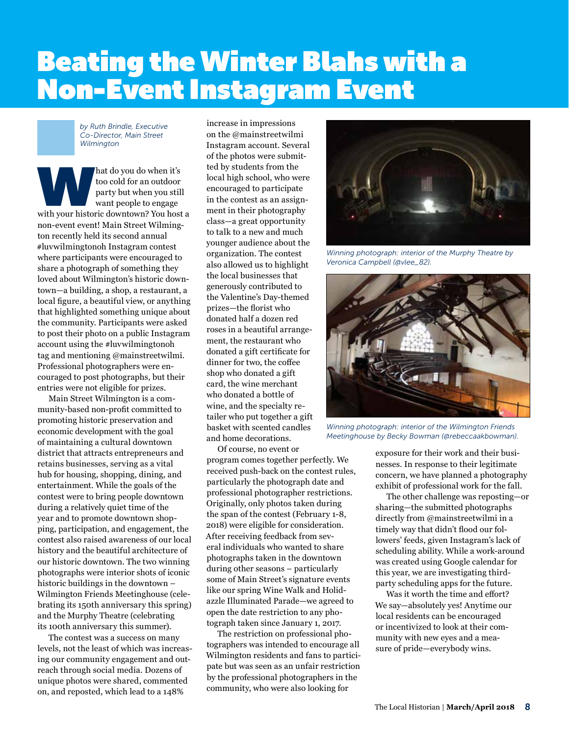# Beating the Winter Blahs with a Non-Event Instagram Event

*by Ruth Brindle, Executive Co-Director, Main Street Wilmington*

hat do you do when it's<br>
too cold for an outdoor<br>
party but when you still<br>
want people to engage<br>
with your historic downtown? You host a too cold for an outdoor party but when you still want people to engage non-event event! Main Street Wilmington recently held its second annual #luvwilmingtonoh Instagram contest where participants were encouraged to share a photograph of something they loved about Wilmington's historic downtown—a building, a shop, a restaurant, a local figure, a beautiful view, or anything that highlighted something unique about the community. Participants were asked to post their photo on a public Instagram account using the #luvwilmingtonoh tag and mentioning @mainstreetwilmi. Professional photographers were encouraged to post photographs, but their entries were not eligible for prizes.

Main Street Wilmington is a community-based non-profit committed to promoting historic preservation and economic development with the goal of maintaining a cultural downtown district that attracts entrepreneurs and retains businesses, serving as a vital hub for housing, shopping, dining, and entertainment. While the goals of the contest were to bring people downtown during a relatively quiet time of the year and to promote downtown shopping, participation, and engagement, the contest also raised awareness of our local history and the beautiful architecture of our historic downtown. The two winning photographs were interior shots of iconic historic buildings in the downtown – Wilmington Friends Meetinghouse (celebrating its 150th anniversary this spring) and the Murphy Theatre (celebrating its 100th anniversary this summer).

The contest was a success on many levels, not the least of which was increasing our community engagement and outreach through social media. Dozens of unique photos were shared, commented on, and reposted, which lead to a 148%

increase in impressions on the @mainstreetwilmi Instagram account. Several of the photos were submitted by students from the local high school, who were encouraged to participate in the contest as an assignment in their photography class—a great opportunity to talk to a new and much younger audience about the organization. The contest also allowed us to highlight the local businesses that generously contributed to the Valentine's Day-themed prizes—the florist who donated half a dozen red roses in a beautiful arrangement, the restaurant who donated a gift certificate for dinner for two, the coffee shop who donated a gift card, the wine merchant who donated a bottle of wine, and the specialty retailer who put together a gift basket with scented candles and home decorations.

Of course, no event or program comes together perfectly. We received push-back on the contest rules, particularly the photograph date and professional photographer restrictions. Originally, only photos taken during the span of the contest (February 1-8, 2018) were eligible for consideration. After receiving feedback from several individuals who wanted to share photographs taken in the downtown during other seasons – particularly some of Main Street's signature events like our spring Wine Walk and Holidazzle Illuminated Parade—we agreed to open the date restriction to any photograph taken since January 1, 2017.

The restriction on professional photographers was intended to encourage all Wilmington residents and fans to participate but was seen as an unfair restriction by the professional photographers in the community, who were also looking for



*Winning photograph: interior of the Murphy Theatre by Veronica Campbell (@vlee\_82).*



*Winning photograph: interior of the Wilmington Friends Meetinghouse by Becky Bowman (@rebeccaakbowman).*

exposure for their work and their businesses. In response to their legitimate concern, we have planned a photography exhibit of professional work for the fall.

The other challenge was reposting—or sharing—the submitted photographs directly from @mainstreetwilmi in a timely way that didn't flood our followers' feeds, given Instagram's lack of scheduling ability. While a work-around was created using Google calendar for this year, we are investigating thirdparty scheduling apps for the future.

Was it worth the time and effort? We say—absolutely yes! Anytime our local residents can be encouraged or incentivized to look at their community with new eyes and a measure of pride—everybody wins.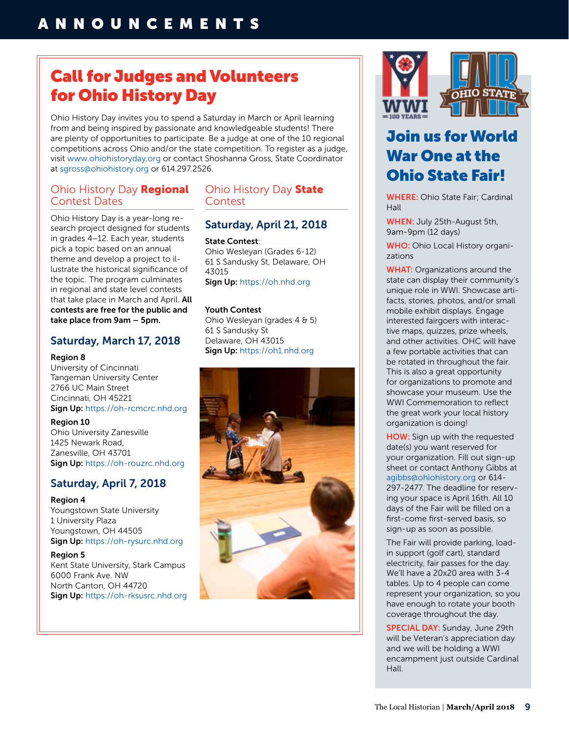## Call for Judges and Volunteers for Ohio History Day

Ohio History Day invites you to spend a Saturday in March or April learning from and being inspired by passionate and knowledgeable students! There are plenty of opportunities to participate. Be a judge at one of the 10 regional competitions across Ohio and/or the state competition. To register as a judge, visit [www.ohiohistoryday.org](http://www.ohiohistoryday.org) or contact Shoshanna Gross, State Coordinator at [sgross@ohiohistory.org](mailto:sgross@ohiohistory.org) or 614.297.2526.

### Ohio History Day Regional Contest Dates

Ohio History Day is a year-long research project designed for students in grades 4–12. Each year, students pick a topic based on an annual theme and develop a project to illustrate the historical significance of the topic. The program culminates in regional and state level contests that take place in March and April. All contests are free for the public and take place from 9am – 5pm.

### Saturday, March 17, 2018

### Region 8

University of Cincinnati Tangeman University Center 2766 UC Main Street Cincinnati, OH 45221 Sign Up: <https://oh-rcmcrc.nhd.org>

Region 10 Ohio University Zanesville 1425 Newark Road,

Zanesville, OH 43701 Sign Up: <https://oh-rouzrc.nhd.org>

## Saturday, April 7, 2018

### Region 4

Youngstown State University 1 University Plaza Youngstown, OH 44505 Sign Up: <https://oh-rysurc.nhd.org>

Region 5 Kent State University, Stark Campus 6000 Frank Ave. NW North Canton, OH 44720 Sign Up: <https://oh-rksusrc.nhd.org>

## Ohio History Day State **Contest**

## Saturday, April 21, 2018

### State Contest:

Ohio Wesleyan (Grades 6-12) 61 S Sandusky St, Delaware, OH 43015 Sign Up: <https://oh.nhd.org>

### Youth Contest

Ohio Wesleyan (grades 4 & 5) 61 S Sandusky St Delaware, OH 43015 Sign Up: <https://oh1.nhd.org>







## Join us for World War One at the Ohio State Fair!

WHERE: Ohio State Fair; Cardinal Hall

WHEN: July 25th-August 5th, 9am-9pm (12 days)

WHO: Ohio Local History organizations

**WHAT:** Organizations around the state can display their community's unique role in WWI. Showcase artifacts, stories, photos, and/or small mobile exhibit displays. Engage interested fairgoers with interactive maps, quizzes, prize wheels, and other activities. OHC will have a few portable activities that can be rotated in throughout the fair. This is also a great opportunity for organizations to promote and showcase your museum. Use the WWI Commemoration to reflect the great work your local history organization is doing!

HOW: Sign up with the requested date(s) you want reserved for your organization. Fill out sign-up sheet or contact Anthony Gibbs at [agibbs@ohiohistory.org](mailto:agibbs@ohiohistory.org) or 614- 297-2477. The deadline for reserving your space is April 16th. All 10 days of the Fair will be filled on a first-come first-served basis, so sign-up as soon as possible.

The Fair will provide parking, loadin support (golf cart), standard electricity, fair passes for the day. We'll have a 20x20 area with 3-4 tables. Up to 4 people can come represent your organization, so you have enough to rotate your booth coverage throughout the day.

**SPECIAL DAY:** Sunday, June 29th will be Veteran's appreciation day and we will be holding a WWI encampment just outside Cardinal Hall.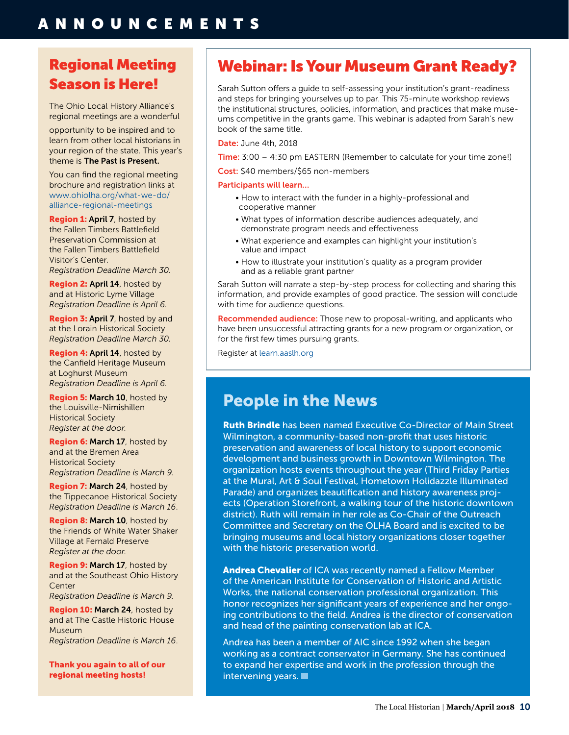## Regional Meeting Season is Here!

The Ohio Local History Alliance's regional meetings are a wonderful

opportunity to be inspired and to learn from other local historians in your region of the state. This year's theme is The Past is Present.

You can find the regional meeting brochure and registration links at [www.ohiolha.org/what-we-do/](http://www.ohiolha.org/what-we-do/alliance-regional-meetings) [alliance-regional-meetings](http://www.ohiolha.org/what-we-do/alliance-regional-meetings)

**Region 1: April 7**, hosted by the Fallen Timbers Battlefield Preservation Commission at the Fallen Timbers Battlefield Visitor's Center.

*Registration Deadline March 30.*

Region 2: April 14, hosted by and at Historic Lyme Village *Registration Deadline is April 6.*

**Region 3: April 7, hosted by and** at the Lorain Historical Society *Registration Deadline March 30.*

Region 4: April 14, hosted by the Canfield Heritage Museum at Loghurst Museum *Registration Deadline is April 6.*

Region 5: March 10, hosted by the Louisville-Nimishillen Historical Society *Register at the door.*

Region 6: March 17, hosted by and at the Bremen Area Historical Society *Registration Deadline is March 9.*

**Region 7: March 24, hosted by** the Tippecanoe Historical Society *Registration Deadline is March 16*.

**Region 8: March 10, hosted by** the Friends of White Water Shaker Village at Fernald Preserve *Register at the door.*

**Region 9: March 17**, hosted by and at the Southeast Ohio History Center *Registration Deadline is March 9.*

Region 10: March 24, hosted by and at The Castle Historic House Museum *Registration Deadline is March 16*.

Thank you again to all of our regional meeting hosts!

## Webinar: Is Your Museum Grant Ready?

Sarah Sutton offers a guide to self-assessing your institution's grant-readiness and steps for bringing yourselves up to par. This 75-minute workshop reviews the institutional structures, policies, information, and practices that make museums competitive in the grants game. This webinar is adapted from Sarah's new book of the same title.

Date: June 4th, 2018

Time: 3:00 – 4:30 pm EASTERN (Remember to calculate for your time zone!)

Cost: \$40 members/\$65 non-members

### Participants will learn…

- How to interact with the funder in a highly-professional and cooperative manner
- What types of information describe audiences adequately, and demonstrate program needs and effectiveness
- What experience and examples can highlight your institution's value and impact
- How to illustrate your institution's quality as a program provider and as a reliable grant partner

Sarah Sutton will narrate a step-by-step process for collecting and sharing this information, and provide examples of good practice. The session will conclude with time for audience questions.

Recommended audience: Those new to proposal-writing, and applicants who have been unsuccessful attracting grants for a new program or organization, or for the first few times pursuing grants.

Register at [learn.aaslh.org](http://learn.aaslh.org)

## People in the News

Ruth Brindle has been named Executive Co-Director of Main Street Wilmington, a community-based non-profit that uses historic preservation and awareness of local history to support economic development and business growth in Downtown Wilmington. The organization hosts events throughout the year (Third Friday Parties at the Mural, Art & Soul Festival, Hometown Holidazzle Illuminated Parade) and organizes beautification and history awareness projects (Operation Storefront, a walking tour of the historic downtown district). Ruth will remain in her role as Co-Chair of the Outreach Committee and Secretary on the OLHA Board and is excited to be bringing museums and local history organizations closer together with the historic preservation world.

Andrea Chevalier of ICA was recently named a Fellow Member of the American Institute for Conservation of Historic and Artistic Works, the national conservation professional organization. This honor recognizes her significant years of experience and her ongoing contributions to the field. Andrea is the director of conservation and head of the painting conservation lab at ICA.

Andrea has been a member of AIC since 1992 when she began working as a contract conservator in Germany. She has continued to expand her expertise and work in the profession through the intervening years.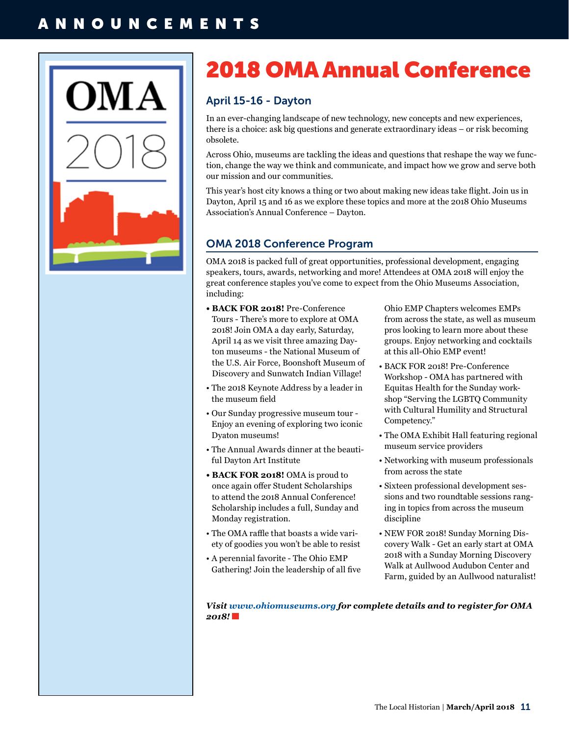## ANNOUNCEMENTS



# 2018 OMA Annual Conference

## April 15-16 - Dayton

In an ever-changing landscape of new technology, new concepts and new experiences, there is a choice: ask big questions and generate extraordinary ideas – or risk becoming obsolete.

Across Ohio, museums are tackling the ideas and questions that reshape the way we function, change the way we think and communicate, and impact how we grow and serve both our mission and our communities.

This year's host city knows a thing or two about making new ideas take flight. Join us in Dayton, April 15 and 16 as we explore these topics and more at the 2018 Ohio Museums Association's Annual Conference – Dayton.

### OMA 2018 Conference Program

OMA 2018 is packed full of great opportunities, professional development, engaging speakers, tours, awards, networking and more! Attendees at OMA 2018 will enjoy the great conference staples you've come to expect from the Ohio Museums Association, including:

- **BACK FOR 2018!** Pre-Conference Tours - There's more to explore at OMA 2018! Join OMA a day early, Saturday, April 14 as we visit three amazing Dayton museums - the National Museum of the U.S. Air Force, Boonshoft Museum of Discovery and Sunwatch Indian Village!
- The 2018 Keynote Address by a leader in the museum field
- Our Sunday progressive museum tour Enjoy an evening of exploring two iconic Dyaton museums!
- The Annual Awards dinner at the beautiful Dayton Art Institute
- **BACK FOR 2018!** OMA is proud to once again offer Student Scholarships to attend the 2018 Annual Conference! Scholarship includes a full, Sunday and Monday registration.
- The OMA raffle that boasts a wide variety of goodies you won't be able to resist
- A perennial favorite The Ohio EMP Gathering! Join the leadership of all five

Ohio EMP Chapters welcomes EMPs from across the state, as well as museum pros looking to learn more about these groups. Enjoy networking and cocktails at this all-Ohio EMP event!

- BACK FOR 2018! Pre-Conference Workshop - OMA has partnered with Equitas Health for the Sunday workshop "Serving the LGBTQ Community with Cultural Humility and Structural Competency."
- The OMA Exhibit Hall featuring regional museum service providers
- Networking with museum professionals from across the state
- Sixteen professional development sessions and two roundtable sessions ranging in topics from across the museum discipline
- NEW FOR 2018! Sunday Morning Discovery Walk - Get an early start at OMA 2018 with a Sunday Morning Discovery Walk at Aullwood Audubon Center and Farm, guided by an Aullwood naturalist!

*Visit [www.ohiomuseums.org](http://www.ohiomuseums.org) for complete details and to register for OMA 2018!*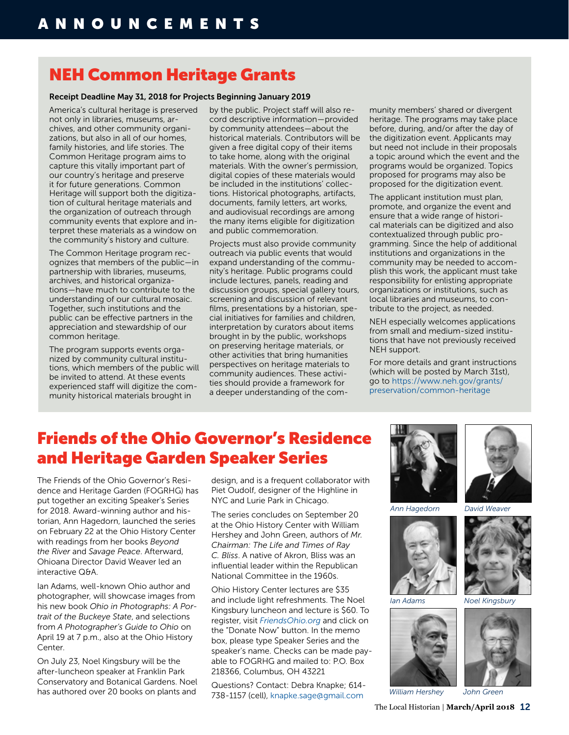## NEH Common Heritage Grants

### Receipt Deadline May 31, 2018 for Projects Beginning January 2019

America's cultural heritage is preserved not only in libraries, museums, archives, and other community organizations, but also in all of our homes, family histories, and life stories. The Common Heritage program aims to capture this vitally important part of our country's heritage and preserve it for future generations. Common Heritage will support both the digitization of cultural heritage materials and the organization of outreach through community events that explore and interpret these materials as a window on the community's history and culture.

The Common Heritage program recognizes that members of the public—in partnership with libraries, museums, archives, and historical organizations—have much to contribute to the understanding of our cultural mosaic. Together, such institutions and the public can be effective partners in the appreciation and stewardship of our common heritage.

The program supports events organized by community cultural institutions, which members of the public will be invited to attend. At these events experienced staff will digitize the community historical materials brought in

by the public. Project staff will also record descriptive information—provided by community attendees—about the historical materials. Contributors will be given a free digital copy of their items to take home, along with the original materials. With the owner's permission, digital copies of these materials would be included in the institutions' collections. Historical photographs, artifacts, documents, family letters, art works, and audiovisual recordings are among the many items eligible for digitization and public commemoration.

Projects must also provide community outreach via public events that would expand understanding of the community's heritage. Public programs could include lectures, panels, reading and discussion groups, special gallery tours, screening and discussion of relevant films, presentations by a historian, special initiatives for families and children, interpretation by curators about items brought in by the public, workshops on preserving heritage materials, or other activities that bring humanities perspectives on heritage materials to community audiences. These activities should provide a framework for a deeper understanding of the community members' shared or divergent heritage. The programs may take place before, during, and/or after the day of the digitization event. Applicants may but need not include in their proposals a topic around which the event and the programs would be organized. Topics proposed for programs may also be proposed for the digitization event.

The applicant institution must plan, promote, and organize the event and ensure that a wide range of historical materials can be digitized and also contextualized through public programming. Since the help of additional institutions and organizations in the community may be needed to accomplish this work, the applicant must take responsibility for enlisting appropriate organizations or institutions, such as local libraries and museums, to contribute to the project, as needed.

NEH especially welcomes applications from small and medium-sized institutions that have not previously received NEH support.

For more details and grant instructions (which will be posted by March 31st), go to [https://www.neh.gov/grants/](https://www.neh.gov/grants/preservation/common-heritage) [preservation/common-heritage](https://www.neh.gov/grants/preservation/common-heritage)

## Friends of the Ohio Governor's Residence and Heritage Garden Speaker Series

The Friends of the Ohio Governor's Residence and Heritage Garden (FOGRHG) has put together an exciting Speaker's Series for 2018. Award-winning author and historian, Ann Hagedorn, launched the series on February 22 at the Ohio History Center with readings from her books *Beyond the River* and *Savage Peace*. Afterward, Ohioana Director David Weaver led an interactive Q&A.

Ian Adams, well-known Ohio author and photographer, will showcase images from his new book *Ohio in Photographs: A Portrait of the Buckeye State*, and selections from *A Photographer's Guide to Ohio* on April 19 at 7 p.m., also at the Ohio History Center.

On July 23, Noel Kingsbury will be the after-luncheon speaker at Franklin Park Conservatory and Botanical Gardens. Noel has authored over 20 books on plants and

design, and is a frequent collaborator with Piet Oudolf, designer of the Highline in NYC and Lurie Park in Chicago.

The series concludes on September 20 at the Ohio History Center with William Hershey and John Green, authors of *Mr. Chairman: The Life and Times of Ray C. Bliss*. A native of Akron, Bliss was an influential leader within the Republican National Committee in the 1960s.

Ohio History Center lectures are \$35 and include light refreshments. The Noel Kingsbury luncheon and lecture is \$60. To register, visit *[FriendsOhio.org](http://FriendsOhio.org)* and click on the "Donate Now" button. In the memo box, please type Speaker Series and the speaker's name. Checks can be made payable to FOGRHG and mailed to: P.O. Box 218366, Columbus, OH 43221

Questions? Contact: Debra Knapke; 614- 738-1157 (cell), [knapke.sage@gmail.com](mailto:knapke.sage@gmail.com)



*Ann Hagedorn*



*Ian Adams*





*David Weaver*



*Noel Kingsbury*



*William Hershey*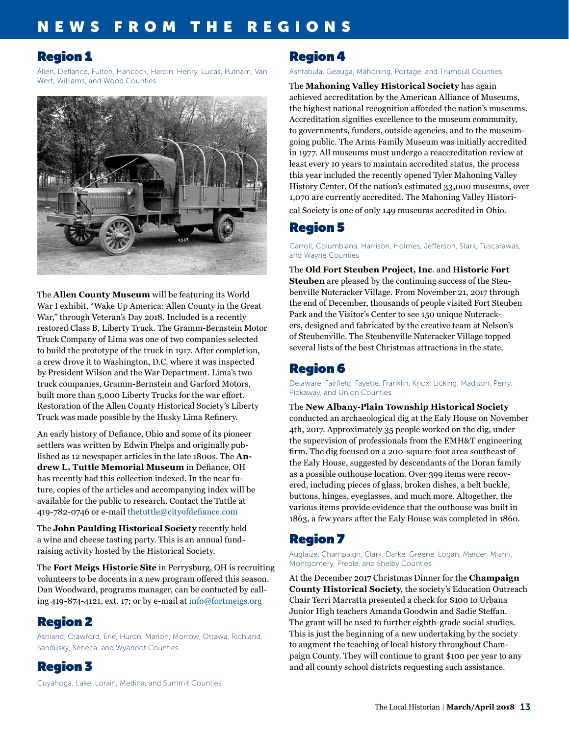## NEWS FROM THE REGIONS

## Region 1

Allen, Defiance, Fulton, Hancock, Hardin, Henry, Lucas, Putnam, Van Wert, Williams, and Wood Counties



The **Allen County Museum** will be featuring its World War I exhibit, "Wake Up America: Allen County in the Great War," through Veteran's Day 2018. Included is a recently restored Class B, Liberty Truck. The Gramm-Bernstein Motor Truck Company of Lima was one of two companies selected to build the prototype of the truck in 1917. After completion, a crew drove it to Washington, D.C. where it was inspected by President Wilson and the War Department. Lima's two truck companies, Gramm-Bernstein and Garford Motors, built more than 5,000 Liberty Trucks for the war effort. Restoration of the Allen County Historical Society's Liberty Truck was made possible by the Husky Lima Refinery.

An early history of Defiance, Ohio and some of its pioneer settlers was written by Edwin Phelps and originally published as 12 newspaper articles in the late 1800s. The **Andrew L. Tuttle Memorial Museum** in Defiance, OH has recently had this collection indexed. In the near future, copies of the articles and accompanying index will be available for the public to research. Contact the Tuttle at 419-782-0746 or e-mail [thetuttle@cityofdefiance.com](mailto:thetuttle@cityofdefiance.com)

The **John Paulding Historical Society** recently held a wine and cheese tasting party. This is an annual fundraising activity hosted by the Historical Society.

The **Fort Meigs Historic Site** in Perrysburg, OH is recruiting volunteers to be docents in a new program offered this season. Dan Woodward, programs manager, can be contacted by calling 419-874-4121, ext. 17; or by e-mail at [info@fortmeigs.org](mailto:info@fortmeigs.org)

## Region 2

Ashland, Crawford, Erie, Huron, Marion, Morrow, Ottawa, Richland, Sandusky, Seneca, and Wyandot Counties

Region 3

Cuyahoga, Lake, Lorain, Medina, and Summit Counties

## Region 4

Ashtabula, Geauga, Mahoning, Portage, and Trumbull Counties

The **Mahoning Valley Historical Society** has again achieved accreditation by the American Alliance of Museums, the highest national recognition afforded the nation's museums. Accreditation signifies excellence to the museum community, to governments, funders, outside agencies, and to the museumgoing public. The Arms Family Museum was initially accredited in 1977. All museums must undergo a reaccreditation review at least every 10 years to maintain accredited status, the process this year included the recently opened Tyler Mahoning Valley History Center. Of the nation's estimated 33,000 museums, over 1,070 are currently accredited. The Mahoning Valley Historical Society is one of only 149 museums accredited in Ohio.

## Region 5

Carroll, Columbiana, Harrison, Holmes, Jefferson, Stark, Tuscarawas, and Wayne Counties

The **Old Fort Steuben Project, Inc**. and **Historic Fort Steuben** are pleased by the continuing success of the Steubenville Nutcracker Village. From November 21, 2017 through the end of December, thousands of people visited Fort Steuben Park and the Visitor's Center to see 150 unique Nutcrackers, designed and fabricated by the creative team at Nelson's of Steubenville. The Steubenville Nutcracker Village topped several lists of the best Christmas attractions in the state.

## Region 6

Delaware, Fairfield, Fayette, Franklin, Knox, Licking, Madison, Perry, Pickaway, and Union Counties

The **New Albany-Plain Township Historical Society** conducted an archaeological dig at the Ealy House on November 4th, 2017. Approximately 35 people worked on the dig, under the supervision of professionals from the EMH&T engineering firm. The dig focused on a 200-square-foot area southeast of the Ealy House, suggested by descendants of the Doran family as a possible outhouse location. Over 399 items were recovered, including pieces of glass, broken dishes, a belt buckle, buttons, hinges, eyeglasses, and much more. Altogether, the various items provide evidence that the outhouse was built in 1863, a few years after the Ealy House was completed in 1860.

## Region 7

Auglaize, Champaign, Clark, Darke, Greene, Logan, Mercer, Miami, Montgomery, Preble, and Shelby Counties

At the December 2017 Christmas Dinner for the **Champaign County Historical Society**, the society's Education Outreach Chair Terri Marratta presented a check for \$100 to Urbana Junior High teachers Amanda Goodwin and Sadie Steffan. The grant will be used to further eighth-grade social studies. This is just the beginning of a new undertaking by the society to augment the teaching of local history throughout Champaign County. They will continue to grant \$100 per year to any and all county school districts requesting such assistance.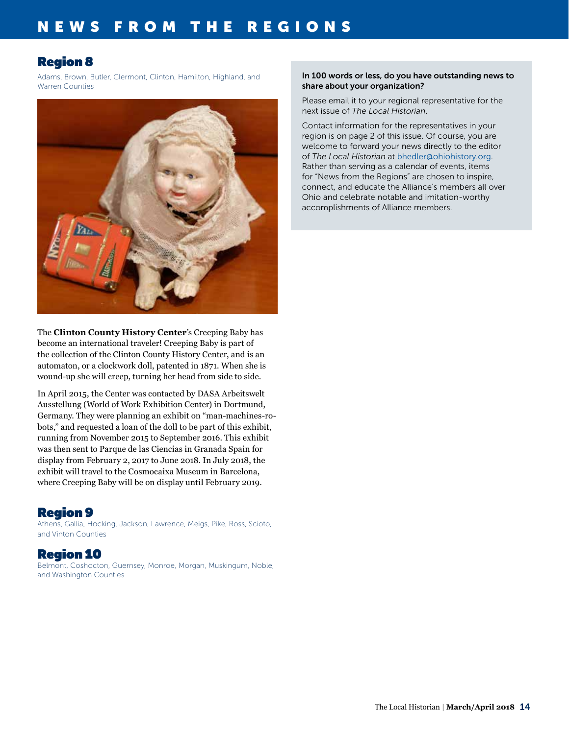## Region 8

Adams, Brown, Butler, Clermont, Clinton, Hamilton, Highland, and Warren Counties



The **Clinton County History Center**'s Creeping Baby has become an international traveler! Creeping Baby is part of the collection of the Clinton County History Center, and is an automaton, or a clockwork doll, patented in 1871. When she is wound-up she will creep, turning her head from side to side.

In April 2015, the Center was contacted by DASA Arbeitswelt Ausstellung (World of Work Exhibition Center) in Dortmund, Germany. They were planning an exhibit on "man-machines-robots," and requested a loan of the doll to be part of this exhibit, running from November 2015 to September 2016. This exhibit was then sent to Parque de las Ciencias in Granada Spain for display from February 2, 2017 to June 2018. In July 2018, the exhibit will travel to the Cosmocaixa Museum in Barcelona, where Creeping Baby will be on display until February 2019.

## Region 9

Athens, Gallia, Hocking, Jackson, Lawrence, Meigs, Pike, Ross, Scioto, and Vinton Counties

## Region 10

Belmont, Coshocton, Guernsey, Monroe, Morgan, Muskingum, Noble, and Washington Counties

### In 100 words or less, do you have outstanding news to share about your organization?

Please email it to your regional representative for the next issue of *The Local Historian*.

Contact information for the representatives in your region is on page 2 of this issue. Of course, you are welcome to forward your news directly to the editor of *The Local Historian* at bhedler[@ohiohistory.org.](mailto:arohmiller%40ohiohistory.org?subject=) Rather than serving as a calendar of events, items for "News from the Regions" are chosen to inspire, connect, and educate the Alliance's members all over Ohio and celebrate notable and imitation-worthy accomplishments of Alliance members.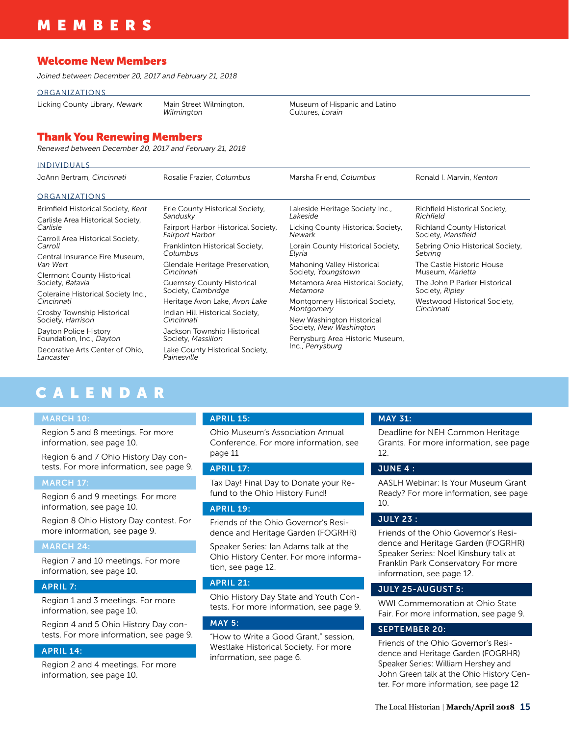## MEMBERS

### Welcome New Members

*Joined between December 20, 2017 and February 21, 2018*

**ORGANIZATIONS** 

Licking County Library, *Newark* Main Street Wilmington,

*Wilmington*

### Thank You Renewing Members

*Renewed between December 20, 2017 and February 21, 2018*

| <b>INDIVIDUALS</b>                                    |                                                               |                                                      |                                                         |
|-------------------------------------------------------|---------------------------------------------------------------|------------------------------------------------------|---------------------------------------------------------|
| JoAnn Bertram, Cincinnati                             | Rosalie Frazier, Columbus                                     | Marsha Friend, Columbus                              | Ronald I. Marvin, Kenton                                |
| <b>ORGANIZATIONS</b>                                  |                                                               |                                                      |                                                         |
| Brimfield Historical Society, Kent                    | Erie County Historical Society,<br>Sandusky                   | Lakeside Heritage Society Inc.,<br>Lakeside          | Richfield Historical Society,<br>Richfield              |
| Carlisle Area Historical Society,<br>Carlisle         |                                                               |                                                      |                                                         |
|                                                       | Fairport Harbor Historical Society,<br><b>Fairport Harbor</b> | Licking County Historical Society,<br>Newark         | <b>Richland County Historical</b><br>Society, Mansfield |
| Carroll Area Historical Society,<br>Carroll           |                                                               |                                                      |                                                         |
|                                                       | Franklinton Historical Society,<br>Columbus                   | Lorain County Historical Society,<br>Elyria          | Sebring Ohio Historical Society,<br>Sebring             |
| Central Insurance Fire Museum.<br>Van Wert            |                                                               |                                                      |                                                         |
|                                                       | Glendale Heritage Preservation,<br>Cincinnati                 | Mahoning Valley Historical<br>Society, Youngstown    | The Castle Historic House<br>Museum, Marietta           |
| <b>Clermont County Historical</b><br>Society, Batavia |                                                               |                                                      |                                                         |
|                                                       | <b>Guernsey County Historical</b><br>Society, Cambridge       | Metamora Area Historical Society,<br>Metamora        | The John P Parker Historical<br>Society, Ripley         |
| Coleraine Historical Society Inc.,<br>Cincinnati      |                                                               |                                                      |                                                         |
|                                                       | Heritage Avon Lake, Avon Lake                                 | Montgomery Historical Society,                       | Westwood Historical Society,<br>Cincinnati              |
| Crosby Township Historical                            | Indian Hill Historical Society,                               | Montgomery                                           |                                                         |
| Society, Harrison                                     | Cincinnati                                                    | New Washington Historical<br>Society, New Washington |                                                         |
|                                                       |                                                               |                                                      |                                                         |
| Dayton Police History<br>Foundation, Inc., Dayton     | Jackson Township Historical<br>Society, Massillon             |                                                      |                                                         |
|                                                       |                                                               | Perrysburg Area Historic Museum,                     |                                                         |
| Decorative Arts Center of Ohio,<br>Lancaster          | Lake County Historical Society,<br>Painesville                | Inc., Perrysburg                                     |                                                         |

Museum of Hispanic and Latino

Cultures, *Lorain*

## CALENDAR

### MARCH 10:

Region 5 and 8 meetings. For more information, see page 10.

Region 6 and 7 Ohio History Day contests. For more information, see page 9.

### MARCH 17:

Region 6 and 9 meetings. For more information, see page 10.

Region 8 Ohio History Day contest. For more information, see page 9.

### MARCH 24:

Region 7 and 10 meetings. For more information, see page 10.

### APRIL 7:

Region 1 and 3 meetings. For more information, see page 10.

Region 4 and 5 Ohio History Day contests. For more information, see page 9.

### APRIL 14:

Region 2 and 4 meetings. For more information, see page 10.

### APRIL 15:

Ohio Museum's Association Annual Conference. For more information, see page 11

### APRIL 17:

Tax Day! Final Day to Donate your Refund to the Ohio History Fund!

### APRIL 19:

Friends of the Ohio Governor's Residence and Heritage Garden (FOGRHR)

Speaker Series: Ian Adams talk at the Ohio History Center. For more information, see page 12.

### APRIL 21:

Ohio History Day State and Youth Contests. For more information, see page 9.

### MAY 5:

"How to Write a Good Grant," session, Westlake Historical Society. For more information, see page 6.

#### MAY 31:

Deadline for NEH Common Heritage Grants. For more information, see page 12.

### JUNE 4 :

AASLH Webinar: Is Your Museum Grant Ready? For more information, see page 10.

### JULY 23 :

Friends of the Ohio Governor's Residence and Heritage Garden (FOGRHR) Speaker Series: Noel Kinsbury talk at Franklin Park Conservatory For more information, see page 12.

### JULY 25-AUGUST 5:

WWI Commemoration at Ohio State Fair. For more information, see page 9.

### SEPTEMBER 20:

Friends of the Ohio Governor's Residence and Heritage Garden (FOGRHR) Speaker Series: William Hershey and John Green talk at the Ohio History Center. For more information, see page 12